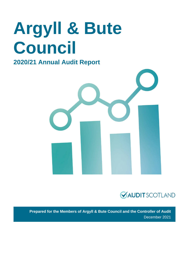# **Argyll & Bute Council**

### **2020/21 Annual Audit Report**





**Prepared for the Members of Argyll & Bute Council and the Controller of Audit** December 2021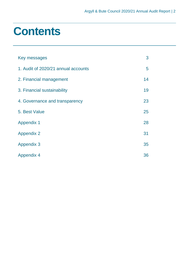### **Contents**

| Key messages                        | 3  |
|-------------------------------------|----|
| 1. Audit of 2020/21 annual accounts | 5  |
| 2. Financial management             | 14 |
| 3. Financial sustainability         | 19 |
| 4. Governance and transparency      | 23 |
| 5. Best Value                       | 25 |
| <b>Appendix 1</b>                   | 28 |
| <b>Appendix 2</b>                   | 31 |
| <b>Appendix 3</b>                   | 35 |
| <b>Appendix 4</b>                   | 36 |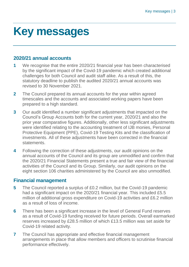## <span id="page-2-0"></span>**Key messages**

#### **2020/21 annual accounts**

- **1** We recognise that the entire 2020/21 financial year has been characterised by the significant impact of the Covid-19 pandemic which created additional challenges for both Council and audit staff alike. As a result of this, the statutory deadline to publish the audited 2020/21 annual accounts was revised to 30 November 2021.
- **2** The Council prepared its annual accounts for the year within agreed timescales and the accounts and associated working papers have been prepared to a high standard.
- **3** Our audit identified a number significant adjustments that impacted on the Council's Group Accounts both for the current year, 2020/21 and also the prior year comparative figures. Additionally, other less significant adjustments were identified relating to the accounting treatment of IJB monies, Personal Protective Equipment (PPE), Covid-19 Testing Kits and the classification of investments. All of these adjustments have been corrected in the financial statements.
- **4** Following the correction of these adjustments, our audit opinions on the annual accounts of the Council and its group are unmodified and confirm that the 2020/21 Financial Statements present a true and fair view of the financial activities of the Council and its Group. Similarly, our audit opinions on the eight section 106 charities administered by the Council are also unmodified.

#### **Financial management**

- **5** The Council reported a surplus of £0.2 million, but the Covid-19 pandemic had a significant impact on the 2020/21 financial year. This included £5.5 million of additional gross expenditure on Covid-19 activities and £6.2 million as a result of loss of income.
- **6** There has been a significant increase in the level of General Fund reserves as a result of Covid-19 funding received for future periods. Overall earmarked reserves increased by £28.5 million of which £13.5 million was set aside for Covid-19 related activity.
- **7** The Council has appropriate and effective financial management arrangements in place that allow members and officers to scrutinise financial performance effectively.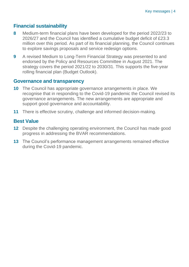#### **Financial sustainability**

- **8** Medium-term financial plans have been developed for the period 2022/23 to 2026/27 and the Council has identified a cumulative budget deficit of £23.3 million over this period. As part of its financial planning, the Council continues to explore savings proposals and service redesign options.
- **9** A revised Medium to Long-Term Financial Strategy was presented to and endorsed by the Policy and Resources Committee in August 2021. The strategy covers the period 2021/22 to 2030/31. This supports the five-year rolling financial plan (Budget Outlook).

#### **Governance and transparency**

- **10** The Council has appropriate governance arrangements in place. We recognise that in responding to the Covid-19 pandemic the Council revised its governance arrangements. The new arrangements are appropriate and support good governance and accountability.
- **11** There is effective scrutiny, challenge and informed decision-making.

#### **Best Value**

- **12** Despite the challenging operating environment, the Council has made good progress in addressing the BVAR recommendations.
- **13** The Council's performance management arrangements remained effective during the Covid-19 pandemic.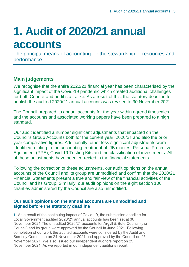## <span id="page-4-0"></span>**1. Audit of 2020/21 annual accounts**

The principal means of accounting for the stewardship of resources and performance.

### **Main judgements**

We recognise that the entire 2020/21 financial year has been characterised by the significant impact of the Covid-19 pandemic which created additional challenges for both Council and audit staff alike. As a result of this, the statutory deadline to publish the audited 2020/21 annual accounts was revised to 30 November 2021.

The Council prepared its annual accounts for the year within agreed timescales and the accounts and associated working papers have been prepared to a high standard.

Our audit identified a number significant adjustments that impacted on the Council's Group Accounts both for the current year, 2020/21 and also the prior year comparative figures. Additionally, other less significant adjustments were identified relating to the accounting treatment of IJB monies, Personal Protective Equipment (PPE), Covid-19 Testing Kits and the classification of investments. All of these adjustments have been corrected in the financial statements.

Following the correction of these adjustments, our audit opinions on the annual accounts of the Council and its group are unmodified and confirm that the 2020/21 Financial Statements present a true and fair view of the financial activities of the Council and its Group. Similarly, our audit opinions on the eight section 106 charities administered by the Council are also unmodified.

#### **Our audit opinions on the annual accounts are unmodified and signed before the statutory deadline**

1. As a result of the continuing impact of Covid-19, the submission deadline for Local Government audited 2020/21 annual accounts has been set at 30 November 2021.The unaudited 2020/21 accounts for Argyll & Bute Council (the Council) and its group were approved by the Council in June 2021. Following completion of our work the audited accounts were considered by the Audit and Scrutiny Committee on 24 November 2021 and approved by the Council on 25 November 2021. We also issued our independent auditors report on 25 November 2021. As we reported in our independent auditor's report: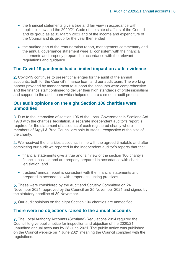- the financial statements give a true and fair view in accordance with applicable law and the 2020/21 Code of the state of affairs of the Council and its group as at 31 March 2021 and of the income and expenditure of the Council and its group for the year then ended
- the audited part of the remuneration report, management commentary and the annual governance statement were all consistent with the financial statements and properly prepared in accordance with the relevant regulations and guidance.

#### **The Covid-19 pandemic had a limited impact on audit evidence**

2. Covid-19 continues to present challenges for the audit of the annual accounts, both for the Council's finance team and our audit team. The working papers provided by management to support the accounts were comprehensive and the finance staff continued to deliver their high standards of professionalism and support to the audit team which helped ensure a smooth audit process.

#### **Our audit opinions on the eight Section 106 charities were unmodified**

Due to the interaction of section 106 of the Local Government in Scotland Act 1973 with the charities' legislation, a separate independent auditor's report is required for the statement of accounts of each registered charity where members of Argyll & Bute Council are sole trustees, irrespective of the size of the charity.

We received the charities' accounts in line with the agreed timetable and after completing our audit we reported in the independent auditor's reports that the:

- financial statements give a true and fair view of the section 106 charity's financial position and are properly prepared in accordance with charities legislation; and
- trustees' annual report is consistent with the financial statements and prepared in accordance with proper accounting practices.

**5.** These were considered by the Audit and Scrutiny Committee on 24 November 2021, approved by the Council on 25 November 2021 and signed by the statutory deadline of 30 November.

6. Our audit opinions on the eight Section 106 charities are unmodified.

#### **There were no objections raised to the annual accounts**

**7.** The Local Authority Accounts (Scotland) Regulations 2014 required the Council to give public notice for inspection and objection of the 2020/21 unaudited annual accounts by 28 June 2021. The public notice was published on the Council website on 7 June 2021 meaning the Council complied with the regulations.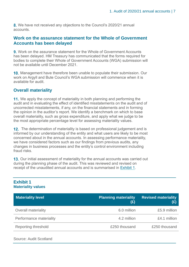8. We have not received any objections to the Council's 2020/21 annual accounts.

#### **Work on the assurance statement for the Whole of Government Accounts has been delayed**

Work on the assurance statement for the Whole of Government Accounts has been delayed. HM Treasury has communicated that the forms required for bodies to complete their Whole of Government Accounts (WGA) submission will not be available until December 2021.

**10.** Management have therefore been unable to populate their submission. Our work on Argyll and Bute Council's WGA submission will commence when it is available for audit.

#### **Overall materiality**

11. We apply the concept of materiality in both planning and performing the audit and in evaluating the effect of identified misstatements on the audit and of uncorrected misstatements, if any, on the financial statements and in forming the opinion in the auditor's report. We identify a benchmark on which to base overall materiality, such as gross expenditure, and apply what we judge to be the most appropriate percentage level for assessing materiality values.

12. The determination of materiality is based on professional judgement and is informed by our understanding of the entity and what users are likely to be most concerned about in the annual accounts. In assessing performance materiality, we have considered factors such as our findings from previous audits, any changes in business processes and the entity's control environment including fraud risks.

**13.** Our initial assessment of materiality for the annual accounts was carried out during the planning phase of the audit. This was reviewed and revised on receipt of the unaudited annual accounts and is summarised in [Exhibit 1.](#page-6-0)

#### <span id="page-6-0"></span>**Exhibit 1 Materiality values**

| <b>Materiality level</b>   | <b>Planning materiality</b><br>$(\mathfrak{L})$ | <b>Revised materiality</b><br>(£) |
|----------------------------|-------------------------------------------------|-----------------------------------|
| <b>Overall materiality</b> | 6.0 million                                     | £5.9 million                      |
| Performance materiality    | 4.2 million                                     | £4.1 million                      |
| Reporting threshold        | £250 thousand                                   | £250 thousand                     |

Source: Audit Scotland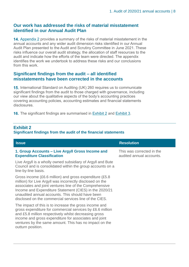#### **Our work has addressed the risks of material misstatement identified in our Annual Audit Plan**

14. Appendix 2 provides a summary of the risks of material misstatement in the [annual accounts and any wider audit dimension risks](#page-30-0) identified in our Annual [Audit Plan presented to the Audit and Scrutiny Committee in June 2021. These](#page-30-0) [risks influence our overall audit strategy, the allocation of staff resources to the](#page-30-0)  [audit and indicate how the efforts of the team were directed. The appendix](#page-30-0)  [identifies the work we undertook to address these risks and our conclusions](#page-30-0)  [from this work.](#page-30-0) 

#### **Significant findings from the audit – all identified misstatements have been corrected in the accounts**

15. International Standard on Auditing (UK) 260 requires us to communicate significant findings from the audit to those charged with governance, including our view about the qualitative aspects of the body's accounting practices covering accounting policies, accounting estimates and financial statements disclosures.

16. The significant findings are summarised in [Exhibit 2](#page-7-0) and [Exhibit 3.](#page-14-0)

| <b>Issue</b>                                                                                                                                                                                                                                                                                                                                            | <b>Resolution</b>                                     |
|---------------------------------------------------------------------------------------------------------------------------------------------------------------------------------------------------------------------------------------------------------------------------------------------------------------------------------------------------------|-------------------------------------------------------|
| 1. Group Accounts – Live Argyll Gross Income and<br><b>Expenditure Classification</b>                                                                                                                                                                                                                                                                   | This was corrected in the<br>audited annual accounts. |
| Live Argyll is a wholly owned subsidiary of Argyll and Bute<br>Council and is consolidated within the group accounts on a<br>line-by-line basis.                                                                                                                                                                                                        |                                                       |
| Gross income (£6.6 million) and gross expenditure (£5.8<br>million) for Live Argyll was incorrectly disclosed on the<br>associates and joint ventures line of the Comprehensive<br>Income and Expenditure Statement (CIES) in the 2020/21<br>unaudited annual accounts. This should have been<br>disclosed on the commercial services line of the CIES. |                                                       |
| The impact of this is to increase the gross income and<br>gross expenditure for commercial services by £6.6 million<br>and £5.8 million respectively whilst decreasing gross<br>income and gross expenditure for associates and joint<br>ventures by the same amount. This has no impact on the<br>outturn position.                                    |                                                       |

### <span id="page-7-0"></span>**Exhibit 2**

#### **Significant findings from the audit of the financial statements**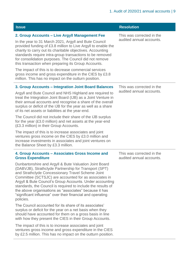| <b>Issue</b>                                                                                                                                                                                                                                                                                                                                                                                                                                                                                                                                                                                                                                                                                                                                                                                                                                                                                                                                                                                                   | <b>Resolution</b>                                     |
|----------------------------------------------------------------------------------------------------------------------------------------------------------------------------------------------------------------------------------------------------------------------------------------------------------------------------------------------------------------------------------------------------------------------------------------------------------------------------------------------------------------------------------------------------------------------------------------------------------------------------------------------------------------------------------------------------------------------------------------------------------------------------------------------------------------------------------------------------------------------------------------------------------------------------------------------------------------------------------------------------------------|-------------------------------------------------------|
| 2. Group Accounts - Live Argyll Management Fee<br>In the year to 31 March 2021, Argyll and Bute Council<br>provided funding of £3.8 million to Live Argyll to enable the<br>charity to carry out its charitable objectives. Accounting<br>standards require intra-group transactions to be removed<br>for consolidation purposes. The Council did not remove<br>this transaction when preparing its Group Accounts.<br>The impact of this is to decrease commercial services<br>gross income and gross expenditure in the CIES by £3.8<br>million. This has no impact on the outturn position.                                                                                                                                                                                                                                                                                                                                                                                                                 | This was corrected in the<br>audited annual accounts. |
| 3. Group Accounts - Integration Joint Board Balances<br>Argyll and Bute Council and NHS Highland are required to<br>treat the Integration Joint Board (IJB) as a Joint Venture in<br>their annual accounts and recognise a share of the overall<br>surplus or deficit of the IJB for the year as well as a share<br>of its net assets or liabilities at the year-end.<br>The Council did not include their share of the IJB surplus<br>for the year (£3.0 million) and net assets at the year-end<br>(£3.3 million) in their Group Accounts.<br>The impact of this is to increase associates and joint<br>ventures gross income on the CIES by £3.0 million and<br>increase investments in associates and joint ventures on<br>the Balance Sheet by £3.3 million.                                                                                                                                                                                                                                              | This was corrected in the<br>audited annual accounts. |
| 4. Group Accounts - Associates Gross Income and<br><b>Gross Expenditure</b><br>Dunbartonshire and Argyll & Bute Valuation Joint Board<br>(DABVJB), Strathclyde Partnership for Transport (SPT)<br>and Strathclyde Concessionary Travel Scheme Joint<br>Committee (SCTSJC) are accounted for as associates in<br>Argyll & Bute Council's Group Accounts. Under accounting<br>standards, the Council is required to include the results of<br>the above organisations as "associates" because it has<br>"significant influence" over their financial and operating<br>policies.<br>The Council accounted for its share of its associates'<br>surplus or deficit for the year on a net basis when they<br>should have accounted for them on a gross basis in line<br>with how they present the CIES in their Group Accounts.<br>The impact of this is to increase associates and joint<br>ventures gross income and gross expenditure in the CIES<br>by £2.5 million. This has no impact on the outturn position. | This was corrected in the<br>audited annual accounts. |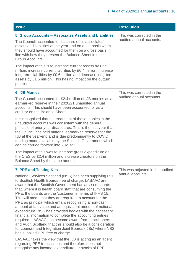| <b>Issue</b>                                                                                                                                                                                                                                                                                                                                                                                                                                                                                                                                                                                                                                                                                                                                                                                                                                                    | <b>Resolution</b>                                     |
|-----------------------------------------------------------------------------------------------------------------------------------------------------------------------------------------------------------------------------------------------------------------------------------------------------------------------------------------------------------------------------------------------------------------------------------------------------------------------------------------------------------------------------------------------------------------------------------------------------------------------------------------------------------------------------------------------------------------------------------------------------------------------------------------------------------------------------------------------------------------|-------------------------------------------------------|
| 5. Group Accounts - Associates Assets and Liabilities<br>The Council accounted for its share of its associates'<br>assets and liabilities at the year-end on a net basis when<br>they should have accounted for them on a gross basis in<br>line with how they present the Balance Sheet in their<br>Group Accounts.                                                                                                                                                                                                                                                                                                                                                                                                                                                                                                                                            | This was corrected in the<br>audited annual accounts. |
| The impact of this is to increase current assets by £2.5<br>million, increase current liabilities by £0.4 million, increase<br>long-term liabilities by £0.6 million and decrease long-term<br>assets by £1.5 million. This has no impact on the outturn<br>position.                                                                                                                                                                                                                                                                                                                                                                                                                                                                                                                                                                                           |                                                       |
| <b>6. IJB Monies</b><br>The Council accounted for £2.4 million of IJB monies as an<br>earmarked reserve in their 2020/21 unaudited annual<br>accounts. This should have been accounted for as a<br>creditor on the Balance Sheet.                                                                                                                                                                                                                                                                                                                                                                                                                                                                                                                                                                                                                               | This was corrected in the<br>audited annual accounts. |
| It is recognised that the treatment of these monies in the<br>unaudited accounts was consistent with the general<br>principle of prior year disclosures. This is the first year that<br>the Council has held material earmarked reserves for the<br>IJB at the year-end and is due predominantly to COVID<br>funding made available by the Scottish Government which<br>can be carried forward into 2021/22.                                                                                                                                                                                                                                                                                                                                                                                                                                                    |                                                       |
| The impact of this was to increase gross expenditure on<br>the CIES by £2.4 million and increase creditors on the<br>Balance Sheet by the same amount.                                                                                                                                                                                                                                                                                                                                                                                                                                                                                                                                                                                                                                                                                                          |                                                       |
| 7. PPE and Testing Kits<br>National Services Scotland (NSS) has been supplying PPE<br>to Scottish Health Boards free of charge. LASAAC are<br>aware that the Scottish Government has advised boards<br>that, where it is health board staff that are consuming the<br>PPE, the boards are the 'customer' in terms of IFRS 15.<br>This will mean that they are required to account for the<br>PPE as principal which entails recognising a non-cash<br>amount at fair value and an equivalent amount of notional<br>expenditure. NSS has provided bodies with the necessary<br>financial information to complete the accounting entries<br>required. LASAAC has become aware from practitioners<br>and Audit Scotland that this should also be a consideration<br>for councils and Integration Joint Boards (IJBs) where NSS<br>has supplied PPE free of charge. | This was adjusted in the audited<br>annual accounts.  |
| LASAAC takes the view that the IJB is acting as an agent<br>regarding PPE transactions and therefore does not<br>recognise any income, expenditure, or stocks of PPE.                                                                                                                                                                                                                                                                                                                                                                                                                                                                                                                                                                                                                                                                                           |                                                       |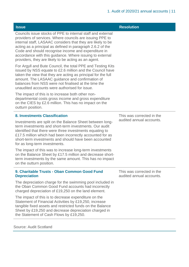| <b>Issue</b>                                                                                                                                                                                                                                                                                                                                                                                                                    | <b>Resolution</b>                                     |
|---------------------------------------------------------------------------------------------------------------------------------------------------------------------------------------------------------------------------------------------------------------------------------------------------------------------------------------------------------------------------------------------------------------------------------|-------------------------------------------------------|
| Councils issue stocks of PPE to internal staff and external<br>providers of services. Where councils are issuing PPE to<br>internal staff, LASAAC considers that they are likely to be<br>acting as a principal as defined in paragraph 2.6.2 of the<br>Code and should recognise income and expenditure in<br>accordance with this guidance. Where issuing to external<br>providers, they are likely to be acting as an agent. |                                                       |
| For Argyll and Bute Council, the total PPE and Testing Kits<br>issued by NSS equate to £2.6 million and the Council have<br>taken the view that they are acting as principal for the full<br>amount. The LASAAC guidance and confirmation of<br>balances from NSS were not finalised at the time the<br>unaudited accounts were authorised for issue.                                                                           |                                                       |
| The impact of this is to increase both other non-<br>departmental costs gross income and gross expenditure<br>on the CIES by £2.6 million. This has no impact on the<br>outturn position.                                                                                                                                                                                                                                       |                                                       |
| <b>8. Investments Classification</b>                                                                                                                                                                                                                                                                                                                                                                                            | This was corrected in the                             |
| Investments are split on the Balance Sheet between long-<br>term investments and short-term investments. Our audit<br>identified that there were three investments equating to<br>£17.5 million which had been incorrectly accounted for as<br>short-term investments and should have been accounted<br>for as long-term investments.                                                                                           | audited annual accounts.                              |
| The impact of this was to increase long-term investments<br>on the Balance Sheet by £17.5 million and decrease short-<br>term investments by the same amount. This has no impact<br>on the outturn position.                                                                                                                                                                                                                    |                                                       |
| 9. Charitable Trusts - Oban Common Good Fund<br><b>Depreciation</b>                                                                                                                                                                                                                                                                                                                                                             | This was corrected in the<br>audited annual accounts. |
| The depreciation charge for the swimming pool included in<br>the Oban Common Good Fund accounts had incorrectly<br>charged depreciation of £19,250 on the land element.                                                                                                                                                                                                                                                         |                                                       |
| The impact of this is to decrease expenditure on the<br>Statement of Financial Activities by £19,250, increase<br>tangible fixed assets and restricted funds on the Balance<br>Sheet by £19,250 and decrease depreciation charged in<br>the Statement of Cash Flows by £19,250.                                                                                                                                                 |                                                       |

Source: Audit Scotland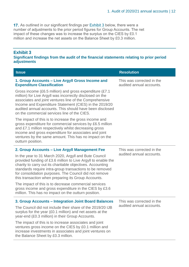17. As outlined in our significant findings per **Exhibit 3** below, there were a number of adjustments to the prior period figures for Group Accounts. The net impact of these changes was to increase the surplus on the CIES by £0.1 million and increase the net assets on the Balance Sheet by £0.3 million.

#### **Exhibit 3**

**Significant findings from the audit of the financial statements relating to prior period adjustments**

| <b>Issue</b>                                                                                                                                                                                                                                                                                                                                                      | <b>Resolution</b>                                     |  |
|-------------------------------------------------------------------------------------------------------------------------------------------------------------------------------------------------------------------------------------------------------------------------------------------------------------------------------------------------------------------|-------------------------------------------------------|--|
| 1. Group Accounts – Live Argyll Gross Income and<br><b>Expenditure Classification</b>                                                                                                                                                                                                                                                                             | This was corrected in the<br>audited annual accounts. |  |
| Gross income (£6.5 million) and gross expenditure (£7.1<br>million) for Live Argyll was incorrectly disclosed on the<br>associates and joint ventures line of the Comprehensive<br>Income and Expenditure Statement (CIES) in the 2019/20<br>audited annual accounts. This should have been disclosed<br>on the commercial services line of the CIES.             |                                                       |  |
| The impact of this is to increase the gross income and<br>gross expenditure for commercial services by £6.5 million<br>and £7.1 million respectively whilst decreasing gross<br>income and gross expenditure for associates and joint<br>ventures by the same amount. This has no impact on the<br>outturn position.                                              |                                                       |  |
| 2. Group Accounts - Live Argyll Management Fee                                                                                                                                                                                                                                                                                                                    | This was corrected in the                             |  |
| In the year to 31 March 2020, Argyll and Bute Council<br>provided funding of £3.6 million to Live Argyll to enable the<br>charity to carry out its charitable objectives. Accounting<br>standards require intra-group transactions to be removed<br>for consolidation purposes. The Council did not remove<br>this transaction when preparing its Group Accounts. | audited annual accounts.                              |  |
| The impact of this is to decrease commercial services<br>gross income and gross expenditure in the CIES by £3.6<br>million. This has no impact on the outturn position.                                                                                                                                                                                           |                                                       |  |
| 3. Group Accounts - Integration Joint Board Balances                                                                                                                                                                                                                                                                                                              | This was corrected in the                             |  |
| The Council did not include their share of the 2019/20 IJB<br>surplus for the year (£0.1 million) and net assets at the<br>year-end (£0.3 million) in their Group Accounts.                                                                                                                                                                                       | audited annual accounts.                              |  |
| The impact of this is to increase associates and joint<br>ventures gross income on the CIES by £0.1 million and<br>increase investments in associates and joint ventures on<br>the Balance Sheet by £0.3 million.                                                                                                                                                 |                                                       |  |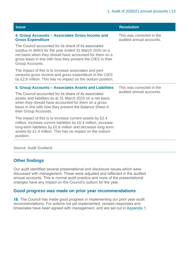| <b>Issue</b>                                                                                                                                                                                                                                                          | <b>Resolution</b>                                     |  |
|-----------------------------------------------------------------------------------------------------------------------------------------------------------------------------------------------------------------------------------------------------------------------|-------------------------------------------------------|--|
| 4. Group Accounts - Associates Gross Income and<br><b>Gross Expenditure</b>                                                                                                                                                                                           | This was corrected in the<br>audited annual accounts. |  |
| The Council accounted for its share of its associates'<br>surplus or deficit for the year ended 31 March 2020 on a<br>net basis when they should have accounted for them on a<br>gross basis in line with how they present the CIES in their<br>Group Accounts.       |                                                       |  |
| The impact of this is to increase associates and joint<br>ventures gross income and gross expenditure in the CIES<br>by £2.6 million. This has no impact on the outturn position.                                                                                     |                                                       |  |
| 5. Group Accounts – Associates Assets and Liabilities                                                                                                                                                                                                                 | This was corrected in the<br>audited annual accounts. |  |
| The Council accounted for its share of its associates'<br>assets and liabilities as at 31 March 2020 on a net basis<br>when they should have accounted for them on a gross<br>basis in line with how they present the Balance Sheet in<br>their Group Accounts.       |                                                       |  |
| The impact of this is to increase current assets by £2.4<br>million, increase current liabilities by £0.4 million, increase<br>long-term liabilities by £0.6 million and decrease long-term<br>assets by £1.4 million. This has no impact on the outturn<br>position. |                                                       |  |

#### Source: Audit Scotland

#### **Other findings**

Our audit identified several presentational and disclosure issues which were discussed with management. These were adjusted and reflected in the audited annual accounts. This is normal audit practice and none of the presentational changes have any impact on the Council's outturn for the year.

#### **Good progress was made on prior year recommendations**

18. The Council has made good progress in implementing our prior year audit recommendations. For actions not yet implemented, revised responses and timescales have been agreed with management, and are set out in [Appendix 1.](#page-27-0)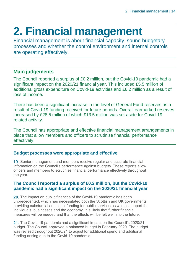## <span id="page-13-0"></span>**2. Financial management**

Financial management is about financial capacity, sound budgetary processes and whether the control environment and internal controls are operating effectively.

#### **Main judgements**

The Council reported a surplus of £0.2 million, but the Covid-19 pandemic had a significant impact on the 2020/21 financial year. This included £5.5 million of additional gross expenditure on Covid-19 activities and £6.2 million as a result of loss of income.

There has been a significant increase in the level of General Fund reserves as a result of Covid-19 funding received for future periods. Overall earmarked reserves increased by £28.5 million of which £13.5 million was set aside for Covid-19 related activity.

The Council has appropriate and effective financial management arrangements in place that allow members and officers to scrutinise financial performance effectively.

#### **Budget processes were appropriate and effective**

19. Senior management and members receive regular and accurate financial information on the Council's performance against budgets. These reports allow officers and members to scrutinise financial performance effectively throughout the year.

#### **The Council reported a surplus of £0.2 million, but the Covid-19 pandemic had a significant impact on the 2020/21 financial year**

20. The impact on public finances of the Covid-19 pandemic has been unprecedented, which has necessitated both the Scottish and UK governments providing substantial additional funding for public services as well as support for individuals, businesses and the economy. It is likely that further financial measures will be needed and that the effects will be felt well into the future.

21. The Covid-19 pandemic had a significant impact on the Council's 2020/21 budget. The Council approved a balanced budget in February 2020. The budget was revised throughout 2020/21 to adjust for additional spend and additional funding arising due to the Covid-19 pandemic.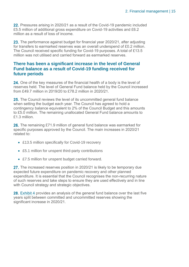22. Pressures arising in 2020/21 as a result of the Covid-19 pandemic included £5.5 million of additional gross expenditure on Covid-19 activities and £6.2 million as a result of loss of income.

<span id="page-14-0"></span>23. The performance against budget for financial year 2020/21, after adjusting for transfers to earmarked reserves was an overall underspend of £0.2 million. The Council received specific funding for Covid-19 purposes. A total of £13.5 million was not utilised and carried forward as earmarked reserves.

#### **There has been a significant increase in the level of General Fund balance as a result of Covid-19 funding received for future periods**

24. One of the key measures of the financial health of a body is the level of reserves held. The level of General Fund balance held by the Council increased from £49.7 million in 2019/20 to £78.2 million in 2020/21.

25. The Council reviews the level of its uncommitted general fund balance when setting the budget each year. The Council has agreed to hold a contingency balance equivalent to 2% of the Council Budget and this amounts to £5.0 million. The remaining unallocated General Fund balance amounts to £1.3 million.

**26.** The remaining £71.9 million of general fund balance was earmarked for specific purposes approved by the Council. The main increases in 2020/21 related to:

- £13.5 million specifically for Covid-19 recovery
- £5.1 million for unspent third-party contributions
- £7.5 million for unspent budget carried forward.

27. The increased reserves position in 2020/21 is likely to be temporary due expected future expenditure on pandemic recovery and other planned expenditure. It is essential that the Council recognises the non-recurring nature of such reserves and take steps to ensure they are used effectively and in line with Council strategy and strategic objectives.

28. [Exhibit 4](#page-15-0) provides an analysis of the general fund balance over the last five years split between committed and uncommitted reserves showing the significant increase in 2020/21.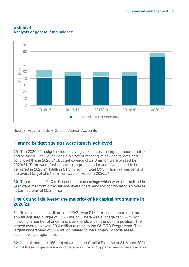

#### <span id="page-15-0"></span>**Exhibit 4 Analysis of general fund balance**

Source: Argyll and Bute Council Annual Accounts

#### **Planned budget savings were largely achieved**

29. The 2020/21 budget included savings split across a large number of policies and services. The Council has a history of meeting its savings targets and continued this in 2020/21. Budget savings of £2.8 million were agreed for 2020/21. There were further savings agreed in prior years which had to be delivered in 2020/21 totalling £1.5 million. In total £3.3 million (77 per cent) of the overall target of £4.3 million was delivered in 2020/21.

**30.** The remaining £1.0 million of budgeted savings which were not realised in year were met from other service level underspends to contribute to an overall outturn surplus of £0.2 million.

#### **The Council delivered the majority of its capital programme in 2020/21**

**31.** Total capital expenditure in 2020/21 was £16.2 million compared to the annual adjusted budget of £16.6 million. There was slippage of £0.4 million including a number of under and overspends within the outturn position. The largest overspend was £0.6 million relating to the CHORD Programme. The largest underspend of £0.4 million related to the Primary Schools asset sustainability programme.

32. In total there are 155 projects within the Capital Plan. As at 31 March 2021, 127 of these projects were complete or on track. Slippage has occurred across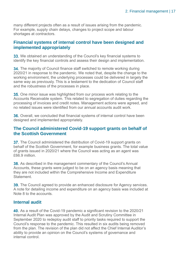many different projects often as a result of issues arising from the pandemic. For example, supply chain delays, changes to project scope and labour shortages at contractors.

#### **Financial systems of internal control have been designed and implemented appropriately**

33. We obtained an understanding of the Council's key financial systems to identify the key financial controls and assess their design and implementation.

34. The majority of Council finance staff switched to remote working during 2020/21 in response to the pandemic. We noted that, despite the change to the working environment, the underlying processes could be delivered in largely the same way as previously. This is a testament to the dedication of Council staff and the robustness of the processes in place.

**35.** One minor issue was highlighted from our process work relating to the Accounts Receivable system. This related to segregation of duties regarding the processing of invoices and credit notes. Management actions were agreed, and no related issues were identified from our annual accounts audit work.

**36.** Overall, we concluded that financial systems of internal control have been designed and implemented appropriately.

#### **The Council administered Covid-19 support grants on behalf of the Scottish Government**

37. The Council administered the distribution of Covid-19 support grants on behalf of the Scottish Government, for example business grants. The total value of grants issued in 2020/21 where the Council was acting as an agent was £66.9 million.

38. As described in the management commentary of the Council's Annual Accounts, these grants were judged to be on an agency basis meaning that they are not included within the Comprehensive Income and Expenditure **Statement** 

**39.** The Council agreed to provide an enhanced disclosure for Agency services. A note for detailing income and expenditure on an agency basis was included at Note 8 to the accounts.

#### **Internal audit**

**40.** As a result of the Covid-19 pandemic a significant revision to the 2020/21 Internal Audit Plan was approved by the Audit and Scrutiny Committee in September 2020 to redeploy audit staff to priority tasks required to support the Council's response to the pandemic. This resulted in six audits being removed from the plan. The revision of the plan did not affect the Chief Internal Auditor's ability to provide an opinion on the Council's systems of governance and internal control.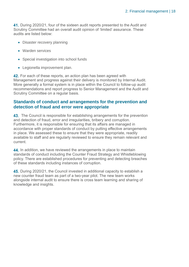**41.** During 2020/21, four of the sixteen audit reports presented to the Audit and Scrutiny Committee had an overall audit opinion of 'limited' assurance. These audits are listed below:

- Disaster recovery planning
- Warden services
- Special investigation into school funds
- Legionella improvement plan.

42. For each of these reports, an action plan has been agreed with Management and progress against their delivery is monitored by Internal Audit. More generally a formal system is in place within the Council to follow-up audit recommendations and report progress to Senior Management and the Audit and Scrutiny Committee on a regular basis.

#### **Standards of conduct and arrangements for the prevention and detection of fraud and error were appropriate**

**43.** The Council is responsible for establishing arrangements for the prevention and detection of fraud, error and irregularities, bribery and corruption. Furthermore, it is responsible for ensuring that its affairs are managed in accordance with proper standards of conduct by putting effective arrangements in place. We assessed these to ensure that they were appropriate, readily available to staff and are regularly reviewed to ensure they remain relevant and current.

44. In addition, we have reviewed the arrangements in place to maintain standards of conduct including the Counter Fraud Strategy and Whistleblowing policy. There are established procedures for preventing and detecting breaches of these standards including instances of corruption.

45. During 2020/21, the Council invested in additional capacity to establish a new counter fraud team as part of a two-year pilot. The new team works alongside internal audit to ensure there is cross team learning and sharing of knowledge and insights.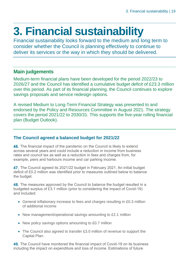## <span id="page-18-0"></span>**3. Financial sustainability**

Financial sustainability looks forward to the medium and long term to consider whether the Council is planning effectively to continue to deliver its services or the way in which they should be delivered.

#### **Main judgements**

Medium-term financial plans have been developed for the period 2022/23 to 2026/27 and the Council has identified a cumulative budget deficit of £23.3 million over this period. As part of its financial planning, the Council continues to explore savings proposals and service redesign options.

A revised Medium to Long-Term Financial Strategy was presented to and endorsed by the Policy and Resources Committee in August 2021. The strategy covers the period 2021/22 to 2030/31. This supports the five-year rolling financial plan (Budget Outlook).

#### **The Council agreed a balanced budget for 2021/22**

**46.** The financial impact of the pandemic on the Council is likely to extend across several years and could include a reduction in income from business rates and council tax as well as a reduction in fees and charges from, for example, piers and harbours income and car parking income.

47. The Council agreed its 2021/22 budget in February 2021. An initial budget deficit of £0.2 million was identified prior to measures outlined below to balance the budget.

**48.** The measures approved by the Council to balance the budget resulted in a budgeted surplus of £3.1 million (prior to considering the impact of Covid-19) and included:

- General inflationary increase to fees and charges resulting in £0.3 million of additional income
- New management/operational savings amounting to £2.1 million
- New policy savings options amounting to £0.7 million
- The Council also agreed to transfer £3.0 million of revenue to support the Capital Plan.

**49.** The Council have monitored the financial impact of Covid-19 on its business including the impact on expenditure and loss of income. Estimations of future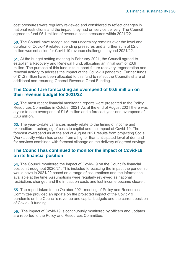cost pressures were regularly reviewed and considered to reflect changes in national restrictions and the impact they had on service delivery. The Council agreed to fund £5.1 million of revenue costs pressures within 2021/22.

**50.** The Council have recognised that uncertainty remains over the level and duration of Covid-19 related spending pressures and a further sum of £2.5 million was set aside for Covid-19 revenue challenges beyond 2021/22.

51. At the budget setting meeting in February 2021, the Council agreed to establish a Recovery and Renewal Fund, allocating an initial sum of £0.9 million. The purpose of this fund is to support future recovery, regeneration and renewal activity to address the impact of the Covid-19 pandemic. Further funds of £1.2 million have been allocated to this fund to reflect the Council's share of additional non-recurring General Revenue Grant Funding.

#### **The Council are forecasting an overspend of £0.6 million on their revenue budget for 2021/22**

52. The most recent financial monitoring reports were presented to the Policy Resources Committee in October 2021. As at the end of August 2021 there was a year to date overspend of £1.5 million and a forecast year-end overspend of £0.6 million.

**53.** The year-to-date variances mainly relate to the timing of income and expenditure, recharging of costs to capital and the impact of Covid-19. The forecast overspend as at the end of August 2021 results from projecting Social Work activity which has arisen from a higher than anticipated level of demand for services combined with forecast slippage on the delivery of agreed savings.

#### **The Council has continued to monitor the impact of Covid-19 on its financial position**

54. The Council monitored the impact of Covid-19 on the Council's financial position throughout 2020/21. This included forecasting the impact the pandemic would have in 2021/22 based on a range of assumptions and the information available at the time. Assumptions were regularly reviewed as national restrictions changed and the impact on costs and lost income became clearer.

55. The report taken to the October 2021 meeting of Policy and Resources Committee provided an update on the projected impact of the Covid-19 pandemic on the Council's revenue and capital budgets and the current position of Covid-19 funding.

**56.** The impact of Covid-19 is continuously monitored by officers and updates are reported to the Policy and Resources Committee.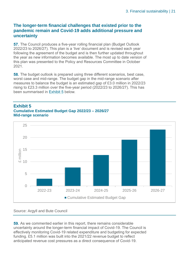#### **The longer-term financial challenges that existed prior to the pandemic remain and Covid-19 adds additional pressure and uncertainty**

57. The Council produces a five-year rolling financial plan (Budget Outlook 2022/23 to 2026/27). This plan is a 'live' document and is revised each year following the agreement of the budget and is then further updated throughout the year as new information becomes available. The most up to date version of this plan was presented to the Policy and Resources Committee in October 2021.

**58.** The budget outlook is prepared using three different scenarios, best case, worst case and mid-range. The budget gap in the mid-range scenario after measures to balance the budget is an estimated gap of £3.0 million in 2022/23 rising to £23.3 million over the five-year period (2022/23 to 2026/27). This has been summarised in [Exhibit 5](#page-20-0) below.

#### <span id="page-20-0"></span>**Exhibit 5 Cumulative Estimated Budget Gap 2022/23 – 2026/27 Mid-range scenario**



#### Source: Argyll and Bute Council

**59.** As we commented earlier in this report, there remains considerable uncertainty around the longer-term financial impact of Covid-19. The Council is effectively monitoring Covid-19 related expenditure and budgeting for expected funding. £5.1 million was built into the 2021/22 revenue budget to reflect anticipated revenue cost pressures as a direct consequence of Covid-19.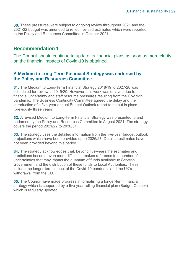**60.** These pressures were subject to ongoing review throughout 2021 and the 2021/22 budget was amended to reflect revised estimates which were reported to the Policy and Resources Committee in October 2021.

#### **Recommendation 1**

The Council should continue to update its financial plans as soon as more clarity on the financial impacts of Covid-19 is obtained.

#### **A Medium to Long-Term Financial Strategy was endorsed by the Policy and Resources Committee**

61. The Medium to Long-Term Financial Strategy 2018/19 to 2027/28 was scheduled for review in 2019/20. However, this work was delayed due to financial uncertainty and staff resource pressures resulting from the Covid-19 pandemic. The Business Continuity Committee agreed the delay and the introduction of a five-year annual Budget Outlook report to be put in place (previously three years).

62. A revised Medium to Long-Term Financial Strategy was presented to and endorsed by the Policy and Resources Committee in August 2021. The strategy covers the period 2021/22 to 2030/31.

**63.** The strategy uses the detailed information from the five-year budget outlook projections which have been provided up to 2026/27. Detailed estimates have not been provided beyond this period.

64. The strategy acknowledges that, beyond five-years the estimates and predictions become even more difficult. It makes reference to a number of uncertainties that may impact the quantum of funds available to Scottish Government and the distribution of these funds to Local Authorities. These include the longer-term impact of the Covid-19 pandemic and the UK's withdrawal from the EU.

65. The Council have made progress in formalising a longer-term financial strategy which is supported by a five-year rolling financial plan (Budget Outlook) which is regularly updated.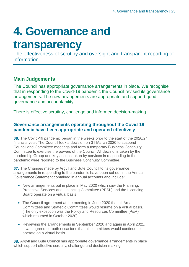## <span id="page-22-0"></span>**4. Governance and**

### **transparency**

The effectiveness of scrutiny and oversight and transparent reporting of information.

#### **Main Judgements**

The Council has appropriate governance arrangements in place. We recognise that in responding to the Covid-19 pandemic the Council revised its governance arrangements. The new arrangements are appropriate and support good governance and accountability.

There is effective scrutiny, challenge and informed decision-making.

#### **Governance arrangements operating throughout the Covid-19 pandemic have been appropriate and operated effectively**

66. The Covid-19 pandemic began in the weeks prior to the start of the 2020/21 financial year. The Council took a decision on 31 March 2020 to suspend Council and Committee meetings and form a temporary Business Continuity Committee to exercise the powers of the Council. All decisions taken by the Leadership Group and key actions taken by services in responding to the pandemic were reported to the Business Continuity Committee.

67. The Changes made by Argyll and Bute Council to its governance arrangements in responding to the pandemic have been set out in the Annual Governance Statement contained in annual accounts and include:

- New arrangements put in place in May 2020 which saw the Planning, Protective Services and Licencing Committee (PPSL) and the Licencing Board operate on a virtual basis.
- The Council agreement at the meeting in June 2020 that all Area Committees and Strategic Committees would resume on a virtual basis. (The only exception was the Policy and Resources Committee (P&R) which resumed in October 2020).
- Reviewing the arrangements in September 2020 and again in April 2021. It was agreed on both occasions that all committees would continue to operate on a virtual basis.

68. Argyll and Bute Council has appropriate governance arrangements in place which support effective scrutiny, challenge and decision-making.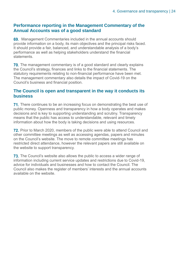#### **Performance reporting in the Management Commentary of the Annual Accounts was of a good standard**

69. Management Commentaries included in the annual accounts should provide information on a body, its main objectives and the principal risks faced. It should provide a fair, balanced, and understandable analysis of a body's performance as well as helping stakeholders understand the financial statements.

**70.** The management commentary is of a good standard and clearly explains the Council's strategy, finances and links to the financial statements. The statutory requirements relating to non-financial performance have been met. The management commentary also details the impact of Covid-19 on the Council's business and financial position.

#### **The Council is open and transparent in the way it conducts its business**

**71.** There continues to be an increasing focus on demonstrating the best use of public money. Openness and transparency in how a body operates and makes decisions and is key to supporting understanding and scrutiny. Transparency means that the public has access to understandable, relevant and timely information about how the body is taking decisions and using resources.

**72.** Prior to March 2020, members of the public were able to attend Council and other committee meetings as well as accessing agendas, papers and minutes on the Council's website. The move to remote committee meetings has restricted direct attendance, however the relevant papers are still available on the website to support transparency.

**73.** The Council's website also allows the public to access a wider range of information including current service updates and restrictions due to Covid-19, advice for individuals and businesses and how to contact the Council. The Council also makes the register of members' interests and the annual accounts available on the website.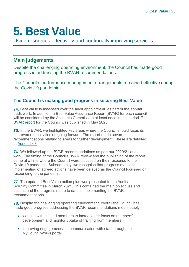## <span id="page-24-0"></span>**5. Best Value**

Using resources effectively and continually improving services.

#### **Main judgements**

Despite the challenging operating environment, the Council has made good progress in addressing the BVAR recommendations.

The Council's performance management arrangements remained effective during the Covid-19 pandemic.

#### **The Council is making good progress in securing Best Value**

74. Best value is assessed over the audit appointment, as part of the annual audit work. In addition, a Best Value Assurance Report (BVAR) for each council will be considered by the Accounts Commission at least once in this period. The [BVAR report](https://www.audit-scotland.gov.uk/uploads/docs/report/2020/bv_200521_argyll_bute.pdf) for the Council was published in May 2020.

**75.** In the BVAR, we highlighted key areas where the Council should focus its improvement activities on going forward. The report made seven recommendations relating to areas for further development. These are detailed at [Appendix 3.](#page-34-0)

**76.** We followed up the BVAR recommendations as part our 2020/21 audit work. The timing of the Council's BVAR review and the publishing of the report came at a time where the Council were focussed on their response to the Covid-19 pandemic. Subsequently, we recognise that progress made in implementing of agreed actions have been delayed as the Council focussed on responding to the pandemic.

77. The updated Best Value action plan was presented to the Audit and Scrutiny Committee in March 2021. This contained the main objectives and actions and the progress made to date in implementing the BVAR recommendations.

**78.** Despite the challenging operating environment, overall the Council has made good progress addressing the BVAR recommendations most notably:

- working with elected members to increase the focus on members' development and monitor uptake of training from members
- improving engagement and communication with staff through the MyCouncilWorks portal.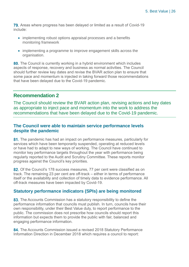**79.** Areas where progress has been delayed or limited as a result of Covid-19 include:

- implementing robust options appraisal processes and a benefits monitoring framework
- implementing a programme to improve engagement skills across the organisation.

80. The Council is currently working in a hybrid environment which includes aspects of response, recovery and business as normal activities. The Council should further review key dates and revise the BVAR action plan to ensure that some pace and momentum is injected in taking forward those recommendations that have been delayed due to the Covid-19 pandemic.

#### **Recommendation 2**

The Council should review the BVAR action plan, revising actions and key dates as appropriate to inject pace and momentum into the work to address the recommendations that have been delayed due to the Covid-19 pandemic.

#### **The Council were able to maintain service performance levels despite the pandemic**

81. The pandemic has had an impact on performance measures, particularly for services which have been temporarily suspended, operating at reduced levels or have had to adapt to new ways of working. The Council have continued to monitor key performance targets throughout the year with performance being regularly reported to the Audit and Scrutiny Committee. These reports monitor progress against the Council's key priorities.

82. Of the Council's 178 success measures, 77 per cent were classified as on track. The remaining 23 per cent are off-track – either in terms of performance itself or the availability and collection of timely data to evidence performance. All off-track measures have been impacted by Covid-19.

#### **Statutory performance indicators (SPIs) are being monitored**

83. The Accounts Commission has a statutory responsibility to define the performance information that councils must publish. In turn, councils have their own responsibility, under their Best Value duty, to report performance to the public. The commission does not prescribe how councils should report this information but expects them to provide the public with fair, balanced and engaging performance information.

84. The Accounts Commission issued a revised 2018 Statutory Performance Information Direction in December 2018 which requires a council to report: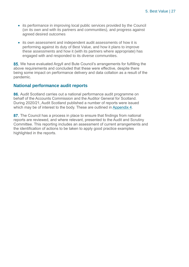- its performance in improving local public services provided by the Council (on its own and with its partners and communities), and progress against agreed desired outcomes
- its own assessment and independent audit assessments of how it is performing against its duty of Best Value, and how it plans to improve these assessments and how it (with its partners where appropriate) has engaged with and responded to its diverse communities.

85. We have evaluated Argyll and Bute Council's arrangements for fulfilling the above requirements and concluded that these were effective, despite there being some impact on performance delivery and data collation as a result of the pandemic.

#### **National performance audit reports**

86. Audit Scotland carries out a national performance audit programme on behalf of the Accounts Commission and the Auditor General for Scotland. During 2020/21, Audit Scotland published a number of reports were issued which may be of interest to the body. These are outlined in [Appendix 4.](#page-35-1)

87. The Council has a process in place to ensure that findings from national reports are reviewed, and where relevant, presented to the Audit and Scrutiny Committee. This reporting includes an assessment of current arrangements and the identification of actions to be taken to apply good practice examples highlighted in the reports.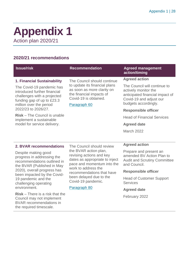### <span id="page-27-0"></span>**Appendix 1** Action plan 2020/21

#### **2020/21 recommendations**

BVAR recommendations in the required timescale.

| <b>Issue/risk</b>                                                                                                                                 | <b>Recommendation</b>                                                                                                                                                                                                                               | <b>Agreed management</b><br>action/timing                                                                                                  |
|---------------------------------------------------------------------------------------------------------------------------------------------------|-----------------------------------------------------------------------------------------------------------------------------------------------------------------------------------------------------------------------------------------------------|--------------------------------------------------------------------------------------------------------------------------------------------|
| 1. Financial Sustainability                                                                                                                       | The Council should continue<br>to update its financial plans<br>as soon as more clarity on<br>the financial impacts of<br>Covid-19 is obtained.<br>Paragraph 60                                                                                     | <b>Agreed action</b>                                                                                                                       |
| The Covid-19 pandemic has<br>introduced further financial<br>challenges with a projected<br>funding gap of up to £23.3<br>million over the period |                                                                                                                                                                                                                                                     | The Council will continue to<br>actively monitor the<br>anticipated financial impact of<br>Covid-19 and adjust our<br>budgets accordingly. |
| 2022/23 to 2026/27.                                                                                                                               |                                                                                                                                                                                                                                                     | <b>Responsible officer</b>                                                                                                                 |
| <b>Risk</b> – The Council is unable<br>implement a sustainable                                                                                    |                                                                                                                                                                                                                                                     | <b>Head of Financial Services</b>                                                                                                          |
| model for service delivery.                                                                                                                       |                                                                                                                                                                                                                                                     | <b>Agreed date</b>                                                                                                                         |
|                                                                                                                                                   |                                                                                                                                                                                                                                                     | March 2022                                                                                                                                 |
|                                                                                                                                                   |                                                                                                                                                                                                                                                     |                                                                                                                                            |
| 2. BVAR recommendations                                                                                                                           | The Council should review<br>the BVAR action plan,<br>revising actions and key<br>dates as appropriate to inject<br>pace and momentum into the<br>work to address the<br>recommendations that have<br>been delayed due to the<br>Covid-19 pandemic. | <b>Agreed action</b>                                                                                                                       |
| Despite making good<br>progress in addressing the<br>recommendations outlined in<br>the BVAR (Published in May                                    |                                                                                                                                                                                                                                                     | Prepare and present an<br>amended BV Action Plan to<br><b>Audit and Scrutiny Committee</b><br>and Council.                                 |
| 2020), overall progress has<br>been impacted by the Covid-                                                                                        |                                                                                                                                                                                                                                                     | <b>Responsible officer</b>                                                                                                                 |
| 19 pandemic and the<br>challenging operating                                                                                                      |                                                                                                                                                                                                                                                     | <b>Head of Customer Support</b><br><b>Services</b>                                                                                         |
| environment.                                                                                                                                      | Paragraph 80                                                                                                                                                                                                                                        | <b>Agreed date</b>                                                                                                                         |
| $Risk - There$ is a risk that the<br>Council may not implement                                                                                    |                                                                                                                                                                                                                                                     | February 2022                                                                                                                              |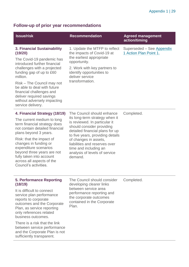### **Follow-up of prior year recommendations**

| <b>Issue/risk</b>                                                                                                                                                                                                                                                                                                                                                       | <b>Recommendation</b>                                                                                                                                                                                                                                                                                                            | <b>Agreed management</b><br>action/timing           |
|-------------------------------------------------------------------------------------------------------------------------------------------------------------------------------------------------------------------------------------------------------------------------------------------------------------------------------------------------------------------------|----------------------------------------------------------------------------------------------------------------------------------------------------------------------------------------------------------------------------------------------------------------------------------------------------------------------------------|-----------------------------------------------------|
| <b>3. Financial Sustainability</b><br>(19/20)<br>The Covid-19 pandemic has<br>introduced further financial<br>challenges with a projected<br>funding gap of up to £60<br>million.<br>Risk – The Council may not<br>be able to deal with future<br>financial challenges and<br>deliver required savings<br>without adversely impacting<br>service delivery.              | 1. Update the MTFP to reflect<br>the impacts of Covid-19 at<br>the earliest appropriate<br>opportunity.<br>2. Work with key partners to<br>identify opportunities to<br>deliver service<br>transformation.                                                                                                                       | Superseded - See Appendix<br>1 Action Plan Point 1. |
| 4. Financial Strategy (18/19)<br>The current medium to long<br>term financial strategy does<br>not contain detailed financial<br>plans beyond 3 years.<br>Risk: that the impact of<br>changes in funding or<br>expenditure scenarios<br>beyond three years are not<br>fully taken into account<br>across all aspects of the<br>Council's activities.                    | The Council should enhance<br>its long-term strategy when it<br>is reviewed. In particular it<br>should consider providing<br>detailed financial plans for up<br>to five years, providing details<br>of changes in assets,<br>liabilities and reserves over<br>time and including an<br>analysis of levels of service<br>demand. | Completed.                                          |
| <b>5. Performance Reporting</b><br>(18/19)<br>It is difficult to connect<br>service plan performance<br>reports to corporate<br>outcomes and the Corporate<br>Plan, as service reporting<br>only references related<br>business outcomes.<br>There is a risk that the link<br>between service performance<br>and the Corporate Plan is not<br>sufficiently transparent. | The Council should consider<br>developing clearer links<br>between service area<br>performance reporting and<br>the corporate outcomes<br>contained in the Corporate<br>Plan.                                                                                                                                                    | Completed.                                          |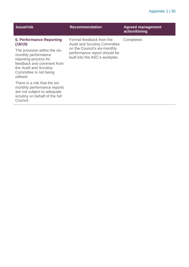#### Appendix 1 | 30

| <b>Issue/risk</b>                                                                                                                                                           | <b>Recommendation</b>                                                                                                                                             | <b>Agreed management</b><br>action/timing |
|-----------------------------------------------------------------------------------------------------------------------------------------------------------------------------|-------------------------------------------------------------------------------------------------------------------------------------------------------------------|-------------------------------------------|
| <b>6. Performance Reporting</b><br>(18/19)                                                                                                                                  | Formal feedback from the<br><b>Audit and Scrutiny Committee</b><br>on the Council's six-monthly<br>performance report should be<br>built into the ASC's workplan. | Completed.                                |
| The provision within the six-<br>monthly performance<br>reporting process for<br>feedback and comment from<br>the Audit and Scrutiny<br>Committee is not being<br>utilised. |                                                                                                                                                                   |                                           |
| There is a risk that the six-<br>monthly performance reports<br>are not subject to adequate<br>scrutiny on behalf of the full<br>Council.                                   |                                                                                                                                                                   |                                           |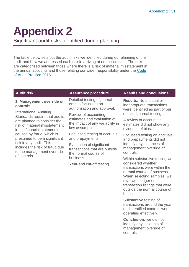## <span id="page-30-0"></span>**Appendix 2**

Significant audit risks identified during planning

The table below sets out the audit risks we identified during our planning of the audit and how we addressed each risk in arriving at our conclusion. The risks are categorised between those where there is a risk of material misstatement in the annual accounts and those relating our wider responsibility under the [Code](http://www.audit-scotland.gov.uk/report/code-of-audit-practice-2016)  [of Audit Practice 2016.](http://www.audit-scotland.gov.uk/report/code-of-audit-practice-2016)

| <b>Audit risk</b>                                                                                                                                                                                      | <b>Assurance procedure</b>                                                                                  | <b>Results and conclusions</b>                                                                                                                                                                                      |
|--------------------------------------------------------------------------------------------------------------------------------------------------------------------------------------------------------|-------------------------------------------------------------------------------------------------------------|---------------------------------------------------------------------------------------------------------------------------------------------------------------------------------------------------------------------|
| 1. Management override of<br>controls<br><b>International Auditing</b><br>Standards require that audits<br>are planned to consider the<br>risk of material misstatement<br>in the financial statements | Detailed testing of journal<br>entries focussing on<br>authorisation and approval.                          | <b>Results: No unusual or</b><br>inappropriate transactions<br>were identified as part of our<br>detailed journal testing.                                                                                          |
|                                                                                                                                                                                                        | Review of accounting<br>estimates and evaluation of<br>the impact of any variability in<br>key assumptions. |                                                                                                                                                                                                                     |
|                                                                                                                                                                                                        |                                                                                                             | A review of accounting<br>estimates did not show any<br>evidence of bias.                                                                                                                                           |
| caused by fraud, which is<br>presumed to be a significant                                                                                                                                              | Focussed testing of accruals<br>and prepayments.                                                            | Focussed testing on accruals<br>and prepayments did not                                                                                                                                                             |
| risk in any audit. This<br>includes the risk of fraud due<br>to the management override                                                                                                                | Evaluation of significant<br>transactions that are outside<br>the normal course of                          | identify any instances of<br>management override of<br>controls.                                                                                                                                                    |
| of controls.                                                                                                                                                                                           | business.                                                                                                   | Within substantive testing we                                                                                                                                                                                       |
|                                                                                                                                                                                                        | Year-end cut-off testing.                                                                                   | considered whether<br>transactions were within the<br>normal course of business.<br>When selecting samples, we<br>reviewed ledger or<br>transaction listings that were<br>outside the normal course of<br>business. |
|                                                                                                                                                                                                        |                                                                                                             | Substantive testing of<br>transactions around the year<br>end identified controls were<br>operating effectively.                                                                                                    |
|                                                                                                                                                                                                        |                                                                                                             | Conclusion: we did not                                                                                                                                                                                              |

**Conclusion:** we did not identify any incidents of management override of controls.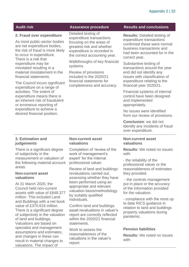#### **2. Fraud over expenditure**

As most public-sector bodies are net expenditure bodies, the risk of fraud is more likely to occur in expenditure. There is a risk that expenditure may be misstated resulting in a material misstatement in the financial statements.

The Council incurs significant expenditure on a range of activities. The extent of expenditure means there is an inherent risk of fraudulent or erroneous reporting of expenditure to achieve a desired financial position.

Detailed testing of expenditure transactions focusing on the areas of greatest risk and whether expenditure is recorded in the correct accounting year.

Walkthroughs of key financial systems.

Review of provisions included in the 2020/21 financial statements for completeness and accuracy.

#### **Audit risk Assurance procedure Results and conclusions**

**Results:** Detailed testing of expenditure transactions confirmed these were normal business transactions and had been accounted for in the correct year.

Substantive testing of transactions around the year end did not identify any issues with classification of expenditure relating to the financial year 2020/21.

Financial systems of internal control have been designed and implemented appropriately.

No issues were identified from our review of provisions.

**Conclusion**: we did not identify any incidents of fraud over expenditure.

#### **3. Estimation and judgements**

There is a significant degree of subjectivity in the measurement or valuation of the following material account areas:

#### **Non-current asset valuations**

At 31 March 2020, the Council held non-current assets with value of £648.377 million. This included Land and Buildings with a net book value of £370.616 million. There is a significant degree of subjectivity in the valuation of land and buildings. Valuations are based on specialist and management assumptions and estimates, and changes in these can result in material changes to valuations. The impact of

#### **Non-current asset valuations**

Completion of 'review of the work of management's expert' for the internal professional valuer.

Review of land and buildings revaluations carried out, assessing whether they have been performed using an appropriate and relevant valuation basis/methodology by suitably qualified individuals.

Confirm land and buildings asset revaluations in valuer's report are correctly reflected within the 2020/21 financial statements.

Work to assess the reasonableness of the valuations in the valuer's report.

#### **Non-current asset valuations**

**Results:** We noted no issues with:

- the reliability of the professional valuer or the reasonableness of estimates they provided.

- the controls management put in place or the accuracy of the information provided for the valuation.

- compliance with the most up to date RICS guidance in relation to land and buildings property valuations during pandemic.

#### **Pension liabilities**

**Results:** We noted no issues with: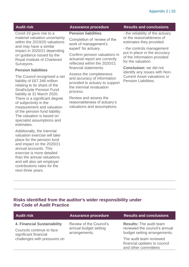Covid-19 gave rise to a material valuation uncertainty within the 2019/20 valuations and may have a similar impact in 2020/21 depending on guidance issued by the Royal Institute of Chartered Surveyors.

#### **Pension liabilities**

The Council recognised a net liability of £67.346 million relating to its share of the Strathclyde Pension Fund liability at 31 March 2020. There is a significant degree of subjectivity in the measurement and valuation of the pension fund liability. The valuation is based on specialist assumptions and estimates.

Additionally, the triennial valuation exercise will take place for the pension fund and impact on the 2020/21 annual accounts. This exercise is more detailed than the annual valuations and will also set employer contributions rates for the next three years.

#### **Pension liabilities**

Completion of 'review of the work of management's expert' for actuary.

Confirm pension valuations in actuarial report are correctly reflected within the 2020/21 financial statements.

Assess the completeness and accuracy of information provided to actuary to support the triennial revaluation process.

Review and assess the reasonableness of actuary's valuations and assumptions.

#### **Audit risk Assurance procedure Results and conclusions**

- the reliability of the actuary or the reasonableness of estimates they provided.

- the controls management put in place or the accuracy of the information provided for the valuation.

**Conclusion:** we did not identify any issues with Non-Current Asset valuations or Pension Liabilities.

#### **Risks identified from the auditor's wider responsibility under the Code of Audit Practice**

| <b>Audit risk</b>                                                                 | <b>Assurance procedure</b>                                        | <b>Results and conclusions</b>                                                                  |
|-----------------------------------------------------------------------------------|-------------------------------------------------------------------|-------------------------------------------------------------------------------------------------|
| 4. Financial Sustainability<br>Councils continue to face<br>significant financial | Review of the Council's<br>annual budget setting<br>arrangements. | <b>Results: The audit team</b><br>reviewed the council's annual<br>budget setting arrangements. |
| challenges with pressures on                                                      |                                                                   | The audit team reviewed<br>financial updates to council<br>and other committees                 |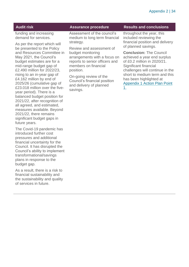funding and increasing demand for services.

As per the report which will be presented to the Policy and Resources Committee in May 2021, the Council's budget estimates are for a mid-range budget gap of £2.490 million for 2022/23, rising to an in-year gap of £4.162 million by end of 2025/26 (cumulative gap of £23.018 million over the fiveyear period). There is a balanced budget position for 2021/22, after recognition of all agreed, and estimated, measures available. Beyond 2021/22, there remains significant budget gaps in future years.

The Covid-19 pandemic has introduced further cost pressures and additional financial uncertainty for the Council. It has disrupted the Council's ability to implement transformational/savings plans in response to the budget gap.

As a result, there is a risk to financial sustainability and the sustainability and quality of services in future.

Assessment of the council's medium to long term financial strategy.

Review and assessment of budget monitoring arrangements with a focus on reports to senior officers and members on financial position.

On-going review of the Council's financial position and delivery of planned savings.

#### **Audit risk Assurance procedure Results and conclusions**

throughout the year, this included reviewing the financial position and delivery of planned savings.

**Conclusion:** The Council achieved a year end surplus of £0.2 million in 2020/21. Significant financial challenges will continue in the short to medium term and this has been highlighted at [Appendix 1 Action Plan Point](#page-27-0)  [1.](#page-27-0)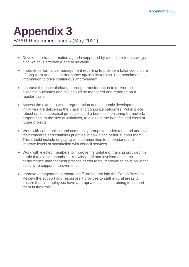### <span id="page-34-0"></span>**Appendix 3** BVAR Recommendations (May 2020)

• Develop the transformation agenda supported by a medium-term savings plan which is affordable and achievable.

- Improve performance management reporting to provide a balanced picture of long-term trends in performance against its targets. Use benchmarking information to drive continuous improvement.
- Increase the pace of change through transformation to deliver the business outcomes and this should be monitored and reported on a regular basis.
- Assess the extent to which regeneration and economic development initiatives are delivering the vision and corporate outcomes. Put in place robust options appraisal processes and a benefits monitoring framework, proportional to the size of initiatives, to evaluate the benefits and costs of future projects.
- Work with communities and community groups to understand and address their concerns and establish priorities in how it can better support them. This should include engaging with communities to understand and improve levels of satisfaction with council services.
- Work with elected members to improve the uptake of training provided. In particular, elected members' knowledge of and involvement in the performance management process needs to be improved to develop wider scrutiny to support improvement.
- Improve engagement to ensure staff are bought into the Council's vision. Review the support and resources it provides to staff in rural areas to ensure that all employees have appropriate access to training to support them in their role.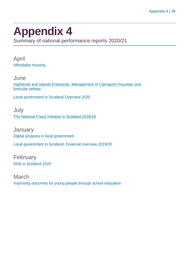### <span id="page-35-1"></span><span id="page-35-0"></span>**Appendix 4**

Summary of national performance reports 2020/21

April [Affordable housing](https://www.audit-scotland.gov.uk/report/affordable-housing)

**June** [Highlands and Islands Enterprise: Management of Cairngorm mountain and](https://www.audit-scotland.gov.uk/report/highlands-and-islands-enterprise-management-of-cairngorm-mountain-and-funicular-railway)  [funicular railway](https://www.audit-scotland.gov.uk/report/highlands-and-islands-enterprise-management-of-cairngorm-mountain-and-funicular-railway)

[Local government in Scotland Overview 2020](https://www.audit-scotland.gov.uk/report/local-government-in-scotland-overview-2020)

July [The National Fraud Initiative in Scotland 2018/19](https://www.audit-scotland.gov.uk/report/the-national-fraud-initiative-in-scotland-201819)

**January** [Digital progress in local government](https://www.audit-scotland.gov.uk/report/digital-progress-in-local-government) [Local government in Scotland: Financial overview 2019/20](https://www.audit-scotland.gov.uk/report/local-government-in-scotland-financial-overview-201920)

February [NHS in Scotland 2020](https://www.audit-scotland.gov.uk/report/nhs-in-scotland-2020)

March [Improving outcomes for young people through school education](https://www.audit-scotland.gov.uk/report/improving-outcomes-for-young-people-through-school-education)